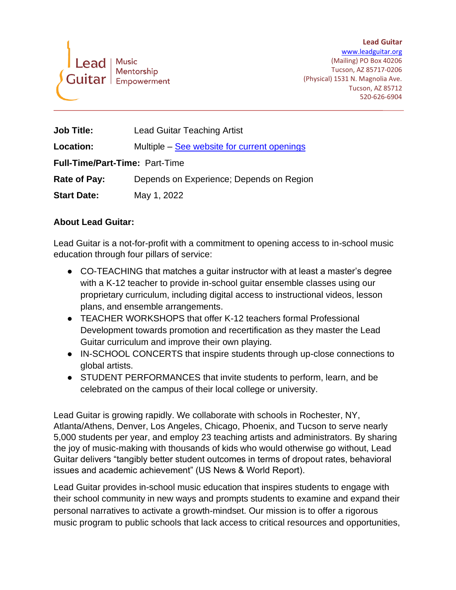

**Lead Guitar** [www.leadguitar.org](http://www.leadguitar.org/) (Mailing) PO Box 40206 Tucson, AZ 85717-0206 (Physical) 1531 N. Magnolia Ave. Tucson, AZ 85712 520-626-6904

| <b>Job Title:</b>                     | <b>Lead Guitar Teaching Artist</b>          |
|---------------------------------------|---------------------------------------------|
| Location:                             | Multiple – See website for current openings |
| <b>Full-Time/Part-Time: Part-Time</b> |                                             |
| Rate of Pay:                          | Depends on Experience; Depends on Region    |
| <b>Start Date:</b>                    | May 1, 2022                                 |

#### **About Lead Guitar:**

Lead Guitar is a not-for-profit with a commitment to opening access to in-school music education through four pillars of service:

- CO-TEACHING that matches a quitar instructor with at least a master's degree with a K-12 teacher to provide in-school guitar ensemble classes using our proprietary curriculum, including digital access to instructional videos, lesson plans, and ensemble arrangements.
- TEACHER WORKSHOPS that offer K-12 teachers formal Professional Development towards promotion and recertification as they master the Lead Guitar curriculum and improve their own playing.
- IN-SCHOOL CONCERTS that inspire students through up-close connections to global artists.
- STUDENT PERFORMANCES that invite students to perform, learn, and be celebrated on the campus of their local college or university.

Lead Guitar is growing rapidly. We collaborate with schools in Rochester, NY, Atlanta/Athens, Denver, Los Angeles, Chicago, Phoenix, and Tucson to serve nearly 5,000 students per year, and employ 23 teaching artists and administrators. By sharing the joy of music-making with thousands of kids who would otherwise go without, Lead Guitar delivers "tangibly better student outcomes in terms of dropout rates, behavioral issues and academic achievement" (US News & World Report).

Lead Guitar provides in-school music education that inspires students to engage with their school community in new ways and prompts students to examine and expand their personal narratives to activate a growth-mindset. Our mission is to offer a rigorous music program to public schools that lack access to critical resources and opportunities,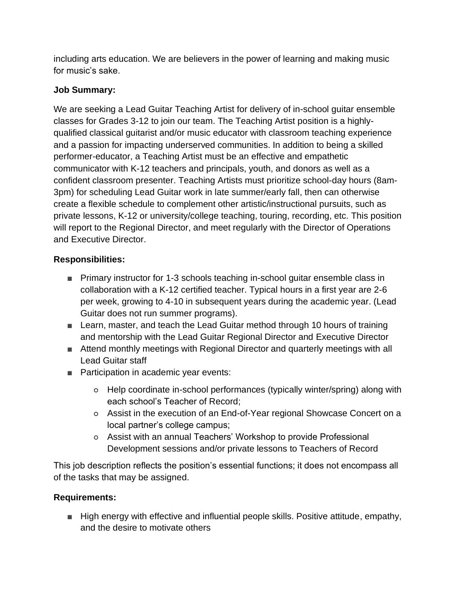including arts education. We are believers in the power of learning and making music for music's sake.

## **Job Summary:**

We are seeking a Lead Guitar Teaching Artist for delivery of in-school guitar ensemble classes for Grades 3-12 to join our team. The Teaching Artist position is a highlyqualified classical guitarist and/or music educator with classroom teaching experience and a passion for impacting underserved communities. In addition to being a skilled performer-educator, a Teaching Artist must be an effective and empathetic communicator with K-12 teachers and principals, youth, and donors as well as a confident classroom presenter. Teaching Artists must prioritize school-day hours (8am-3pm) for scheduling Lead Guitar work in late summer/early fall, then can otherwise create a flexible schedule to complement other artistic/instructional pursuits, such as private lessons, K-12 or university/college teaching, touring, recording, etc. This position will report to the Regional Director, and meet regularly with the Director of Operations and Executive Director.

# **Responsibilities:**

- Primary instructor for 1-3 schools teaching in-school guitar ensemble class in collaboration with a K-12 certified teacher. Typical hours in a first year are 2-6 per week, growing to 4-10 in subsequent years during the academic year. (Lead Guitar does not run summer programs).
- Learn, master, and teach the Lead Guitar method through 10 hours of training and mentorship with the Lead Guitar Regional Director and Executive Director
- Attend monthly meetings with Regional Director and quarterly meetings with all Lead Guitar staff
- Participation in academic year events:
	- Help coordinate in-school performances (typically winter/spring) along with each school's Teacher of Record;
	- Assist in the execution of an End-of-Year regional Showcase Concert on a local partner's college campus;
	- Assist with an annual Teachers' Workshop to provide Professional Development sessions and/or private lessons to Teachers of Record

This job description reflects the position's essential functions; it does not encompass all of the tasks that may be assigned.

# **Requirements:**

■ High energy with effective and influential people skills. Positive attitude, empathy, and the desire to motivate others